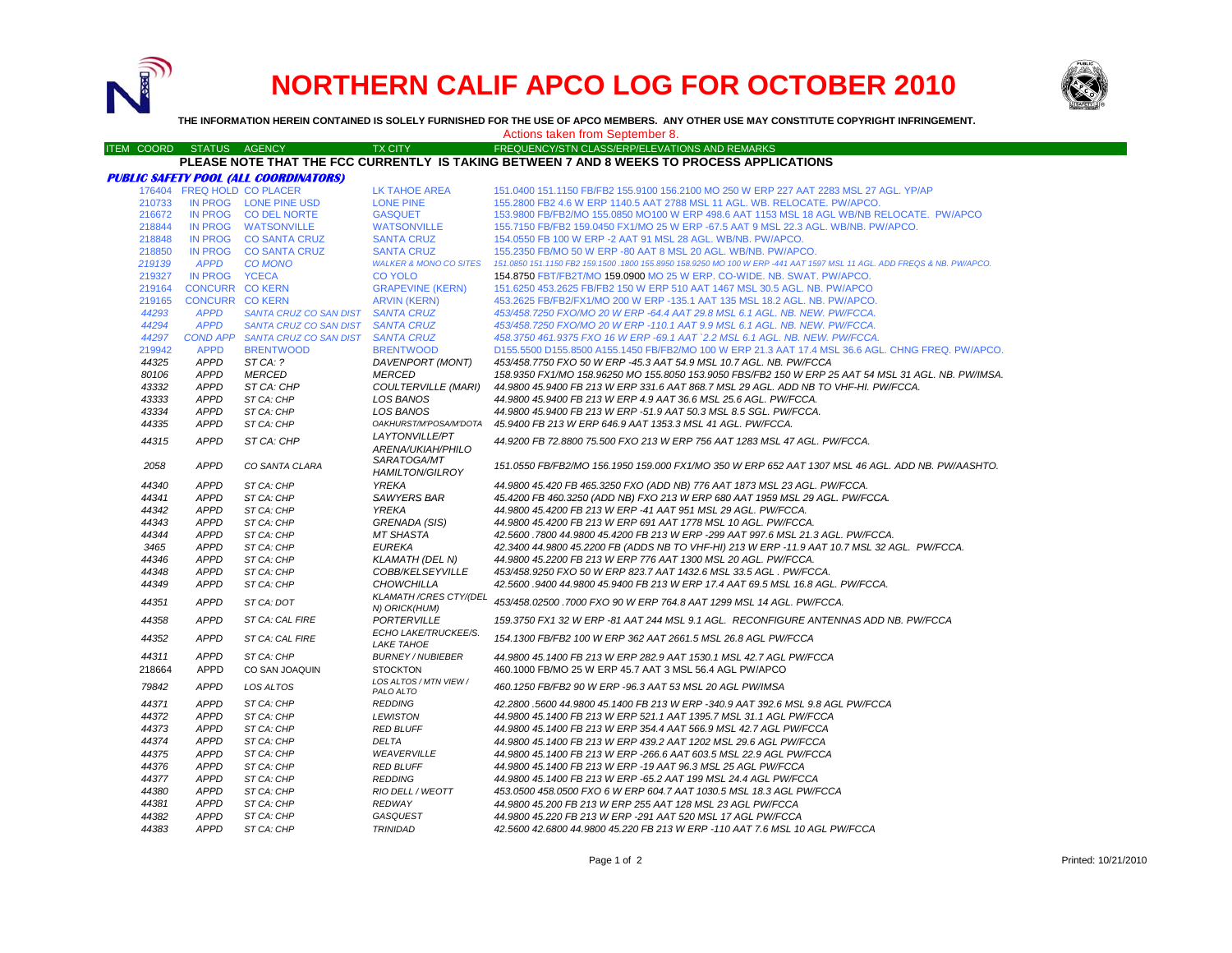

# **NORTHERN CALIF APCO LOG FOR OCTOBER 2010**



**THE INFORMATION HEREIN CONTAINED IS SOLELY FURNISHED FOR THE USE OF APCO MEMBERS. ANY OTHER USE MAY CONSTITUTE COPYRIGHT INFRINGEMENT.**

Actions taken from September 8.

ITEM COORD STATUS AGENCY TX CITY FREQUENCY/STN CLASS/ERP/ELEVATIONS AND REMARKS

## **PLEASE NOTE THAT THE FCC CURRENTLY IS TAKING BETWEEN 7 AND 8 WEEKS TO PROCESS APPLICATIONS**

|                  |                            | <b>PUBLIC SAFETY POOL (ALL COORDINATORS)</b>  |                                               |                                                                                                                                                                        |
|------------------|----------------------------|-----------------------------------------------|-----------------------------------------------|------------------------------------------------------------------------------------------------------------------------------------------------------------------------|
|                  |                            | 176404 FREQ HOLD CO PLACER                    | LK TAHOE AREA                                 | 151.0400 151.1150 FB/FB2 155.9100 156.2100 MO 250 W ERP 227 AAT 2283 MSL 27 AGL. YP/AP                                                                                 |
| 210733<br>216672 |                            | IN PROG LONE PINE USD<br>IN PROG CO DEL NORTE | <b>LONE PINE</b><br><b>GASQUET</b>            | 155,2800 FB2 4.6 W ERP 1140.5 AAT 2788 MSL 11 AGL, WB, RELOCATE, PW/APCO,<br>153,9800 FB/FB2/MO 155,0850 MO100 W ERP 498.6 AAT 1153 MSL 18 AGL WB/NB RELOCATE. PW/APCO |
| 218844           |                            | IN PROG WATSONVILLE                           | <b>WATSONVILLE</b>                            | 155.7150 FB/FB2 159.0450 FX1/MO 25 W ERP -67.5 AAT 9 MSL 22.3 AGL. WB/NB. PW/APCO.                                                                                     |
| 218848           |                            | IN PROG CO SANTA CRUZ                         | <b>SANTA CRUZ</b>                             | 154.0550 FB 100 W ERP -2 AAT 91 MSL 28 AGL. WB/NB. PW/APCO.                                                                                                            |
| 218850           |                            | IN PROG CO SANTA CRUZ                         | <b>SANTA CRUZ</b>                             | 155,2350 FB/MO 50 W ERP -80 AAT 8 MSL 20 AGL, WB/NB, PW/APCO,                                                                                                          |
| 219139           | <b>APPD</b>                | <b>CO MONO</b>                                | <b>WALKER &amp; MONO CO SITES</b>             | 151.0850 151.1150 FB2 159.1500 .1800 155.8950 158.9250 MO 100 W ERP -441 AAT 1597 MSL 11 AGL. ADD FREQS & NB. PW/APCO.                                                 |
| 219327           | IN PROG YCECA              |                                               | <b>CO YOLO</b>                                | 154,8750 FBT/FB2T/MO 159,0900 MO 25 W ERP, CO-WIDE, NB, SWAT, PW/APCO,                                                                                                 |
| 219164           | <b>CONCURR CO KERN</b>     |                                               | <b>GRAPEVINE (KERN)</b>                       | 151.6250 453.2625 FB/FB2 150 W ERP 510 AAT 1467 MSL 30.5 AGL. NB. PW/APCO                                                                                              |
| 219165           | <b>CONCURR CO KERN</b>     |                                               | <b>ARVIN (KERN)</b>                           | 453.2625 FB/FB2/FX1/MO 200 W ERP -135.1 AAT 135 MSL 18.2 AGL. NB. PW/APCO.                                                                                             |
| 44293            | <b>APPD</b>                | SANTA CRUZ CO SAN DIST                        | <b>SANTA CRUZ</b>                             | 453/458.7250 FXO/MO 20 W ERP -64.4 AAT 29.8 MSL 6.1 AGL. NB. NEW. PW/FCCA.                                                                                             |
| 44294            | <b>APPD</b>                | SANTA CRUZ CO SAN DIST                        | <b>SANTA CRUZ</b>                             | 453/458.7250 FXO/MO 20 W ERP -110.1 AAT 9.9 MSL 6.1 AGL. NB. NEW. PW/FCCA.                                                                                             |
| 44297            |                            | COND APP SANTA CRUZ CO SAN DIST               | <b>SANTA CRUZ</b>                             | 458.3750 461.9375 FXO 16 W ERP -69.1 AAT `2.2 MSL 6.1 AGL. NB. NEW. PW/FCCA.                                                                                           |
| 219942           | <b>APPD</b>                | <b>BRENTWOOD</b>                              | <b>BRENTWOOD</b>                              | D155.5500 D155.8500 A155.1450 FB/FB2/MO 100 W ERP 21.3 AAT 17.4 MSL 36.6 AGL. CHNG FREQ. PW/APCO.                                                                      |
| 44325            | <b>APPD</b>                | ST CA: ?                                      | DAVENPORT (MONT)                              | 453/458.7750 FXO 50 W ERP -45.3 AAT 54.9 MSL 10.7 AGL. NB. PW/FCCA                                                                                                     |
| 80106            | <b>APPD</b>                | <b>MERCED</b>                                 | <b>MERCED</b>                                 | 158.9350 FX1/MO 158.96250 MO 155.8050 153.9050 FBS/FB2 150 W ERP 25 AAT 54 MSL 31 AGL. NB. PW/IMSA.                                                                    |
| 43332            | <b>APPD</b>                | ST CA: CHP                                    | <b>COULTERVILLE (MARI)</b>                    | 44.9800 45.9400 FB 213 W ERP 331.6 AAT 868.7 MSL 29 AGL. ADD NB TO VHF-HI. PW/FCCA.                                                                                    |
| 43333            | <b>APPD</b>                | ST CA: CHP                                    | <b>LOS BANOS</b>                              | 44.9800 45.9400 FB 213 W ERP 4.9 AAT 36.6 MSL 25.6 AGL, PW/FCCA.                                                                                                       |
| 43334            | <b>APPD</b>                | ST CA: CHP                                    | <b>LOS BANOS</b>                              | 44.9800 45.9400 FB 213 W ERP -51.9 AAT 50.3 MSL 8.5 SGL. PW/FCCA.                                                                                                      |
| 44335            | <b>APPD</b>                | ST CA: CHP                                    | OAKHURST/M'POSA/M'DOTA                        | 45.9400 FB 213 W ERP 646.9 AAT 1353.3 MSL 41 AGL. PW/FCCA.                                                                                                             |
| 44315            | <b>APPD</b>                | ST CA: CHP                                    | LAYTONVILLE/PT<br>ARENA/UKIAH/PHILO           | 44,9200 FB 72,8800 75,500 FXO 213 W ERP 756 AAT 1283 MSL 47 AGL, PW/FCCA.                                                                                              |
| 2058             | <b>APPD</b>                | CO SANTA CLARA                                | SARATOGA/MT<br><b>HAMILTON/GILROY</b>         | 151.0550 FB/FB2/MO 156.1950 159.000 FX1/MO 350 W ERP 652 AAT 1307 MSL 46 AGL. ADD NB. PW/AASHTO.                                                                       |
| 44340            | <b>APPD</b>                | ST CA: CHP                                    | YREKA                                         | 44.9800 45.420 FB 465.3250 FXO (ADD NB) 776 AAT 1873 MSL 23 AGL. PW/FCCA.                                                                                              |
| 44341            | <b>APPD</b>                | ST CA: CHP                                    | SAWYERS BAR                                   | 45.4200 FB 460.3250 (ADD NB) FXO 213 W ERP 680 AAT 1959 MSL 29 AGL. PW/FCCA.                                                                                           |
| 44342            | <b>APPD</b>                | ST CA: CHP                                    | <b>YREKA</b>                                  | 44.9800 45.4200 FB 213 W ERP -41 AAT 951 MSL 29 AGL, PW/FCCA,                                                                                                          |
| 44343            | <b>APPD</b>                | ST CA: CHP                                    | GRENADA (SIS)                                 | 44.9800 45.4200 FB 213 W ERP 691 AAT 1778 MSL 10 AGL. PW/FCCA.                                                                                                         |
| 44344            | <b>APPD</b>                | ST CA: CHP                                    | <b>MT SHASTA</b>                              | 42.5600 .7800 44.9800 45.4200 FB 213 W ERP -299 AAT 997.6 MSL 21.3 AGL. PW/FCCA.                                                                                       |
| 3465             | <b>APPD</b>                | ST CA: CHP                                    | <b>EUREKA</b>                                 | 42.3400 44.9800 45.2200 FB (ADDS NB TO VHF-HI) 213 W ERP -11.9 AAT 10.7 MSL 32 AGL. PW/FCCA.                                                                           |
| 44346            | <b>APPD</b>                | ST CA: CHP                                    | <b>KLAMATH (DEL N)</b>                        | 44.9800 45.2200 FB 213 W ERP 776 AAT 1300 MSL 20 AGL. PW/FCCA.                                                                                                         |
| 44348            | <b>APPD</b>                | ST CA: CHP                                    | COBB/KELSEYVILLE                              | 453/458.9250 FXO 50 W ERP 823.7 AAT 1432.6 MSL 33.5 AGL . PW/FCCA.                                                                                                     |
| 44349<br>44351   | <b>APPD</b><br><b>APPD</b> | ST CA: CHP<br>ST CA: DOT                      | <b>CHOWCHILLA</b><br>KLAMATH / CRES CTY/(DEL  | 42.5600 .9400 44.9800 45.9400 FB 213 W ERP 17.4 AAT 69.5 MSL 16.8 AGL. PW/FCCA.<br>453/458.02500 .7000 FXO 90 W ERP 764.8 AAT 1299 MSL 14 AGL. PW/FCCA.                |
|                  |                            |                                               | N) ORICK(HUM)                                 |                                                                                                                                                                        |
| 44358<br>44352   | <b>APPD</b><br><b>APPD</b> | ST CA: CAL FIRE<br>ST CA: CAL FIRE            | PORTERVILLE<br>ECHO LAKE/TRUCKEE/S.           | 159.3750 FX1 32 W ERP -81 AAT 244 MSL 9.1 AGL, RECONFIGURE ANTENNAS ADD NB, PW/FCCA<br>154.1300 FB/FB2 100 W ERP 362 AAT 2661.5 MSL 26.8 AGL PW/FCCA                   |
| 44311            | <b>APPD</b>                | ST CA: CHP                                    | <b>LAKE TAHOE</b><br><b>BURNEY / NUBIEBER</b> | 44,9800 45,1400 FB 213 W ERP 282.9 AAT 1530.1 MSL 42.7 AGL PW/FCCA                                                                                                     |
|                  | <b>APPD</b>                |                                               | <b>STOCKTON</b>                               |                                                                                                                                                                        |
| 218664<br>79842  | <b>APPD</b>                | CO SAN JOAQUIN<br><b>LOS ALTOS</b>            | LOS ALTOS / MTN VIEW /                        | 460.1000 FB/MO 25 W ERP 45.7 AAT 3 MSL 56.4 AGL PW/APCO<br>460.1250 FB/FB2 90 W ERP -96.3 AAT 53 MSL 20 AGL PW/IMSA                                                    |
| 44371            | <b>APPD</b>                |                                               | PALO ALTO                                     |                                                                                                                                                                        |
| 44372            | <b>APPD</b>                | ST CA: CHP<br>ST CA: CHP                      | <b>REDDING</b><br><b>LEWISTON</b>             | 42.2800 .5600 44.9800 45.1400 FB 213 W ERP -340.9 AAT 392.6 MSL 9.8 AGL PW/FCCA<br>44.9800 45.1400 FB 213 W ERP 521.1 AAT 1395.7 MSL 31.1 AGL PW/FCCA                  |
| 44373            | <b>APPD</b>                | ST CA: CHP                                    | <b>RED BLUFF</b>                              | 44,9800 45,1400 FB 213 W ERP 354.4 AAT 566.9 MSL 42.7 AGL PW/FCCA                                                                                                      |
| 44374            | <b>APPD</b>                | ST CA: CHP                                    | <b>DELTA</b>                                  | 44.9800 45.1400 FB 213 W ERP 439.2 AAT 1202 MSL 29.6 AGL PW/FCCA                                                                                                       |
| 44375            | <b>APPD</b>                | ST CA: CHP                                    | WEAVERVILLE                                   |                                                                                                                                                                        |
|                  | <b>APPD</b>                |                                               |                                               | 44.9800 45.1400 FB 213 W ERP -266.6 AAT 603.5 MSL 22.9 AGL PW/FCCA                                                                                                     |
| 44376<br>44377   | <b>APPD</b>                | ST CA: CHP<br>ST CA: CHP                      | <b>RED BLUFF</b><br><b>REDDING</b>            | 44.9800 45.1400 FB 213 W ERP -19 AAT 96.3 MSL 25 AGL PW/FCCA<br>44.9800 45.1400 FB 213 W ERP -65.2 AAT 199 MSL 24.4 AGL PW/FCCA                                        |
| 44380            | <b>APPD</b>                | ST CA: CHP                                    | RIO DELL / WEOTT                              | 453.0500 458.0500 FXO 6 W ERP 604.7 AAT 1030.5 MSL 18.3 AGL PW/FCCA                                                                                                    |
| 44381            | <b>APPD</b>                | ST CA: CHP                                    | <b>REDWAY</b>                                 | 44.9800 45.200 FB 213 W ERP 255 AAT 128 MSL 23 AGL PW/FCCA                                                                                                             |
| 44382            | <b>APPD</b>                | ST CA: CHP                                    | GASQUEST                                      | 44.9800 45.220 FB 213 W ERP -291 AAT 520 MSL 17 AGL PW/FCCA                                                                                                            |
| 44383            | <b>APPD</b>                | ST CA: CHP                                    | <b>TRINIDAD</b>                               | 42.5600 42.6800 44.9800 45.220 FB 213 W ERP -110 AAT 7.6 MSL 10 AGL PW/FCCA                                                                                            |
|                  |                            |                                               |                                               |                                                                                                                                                                        |